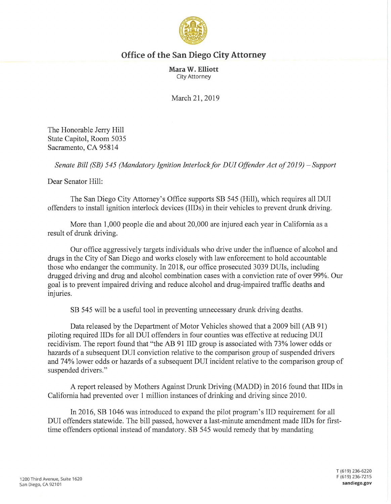

## **Office of the San Diego City Attorney**

**Mara W. Elliott**  City Attorney

March 21, 2019

The Honorable Jerry Hill State Capitol, Room 5035 Sacramento, CA 95814

*Senate Bill (SB) 545 (Mandatory Ignition Interlock for DUI Offender Act of 2019) - Support* 

Dear Senator Hill:

The San Diego City Attorney's Office supports SB 545 (Hill), which requires all DUI offenders to install ignition interlock devices (IIDs) in their vehicles to prevent drunk driving.

More than 1,000 people die and about 20,000 are injured each year in California as a result of drunk driving.

Our office aggressively targets individuals who drive under the influence of alcohol and drugs in the City of San Diego and works closely with law enforcement to hold accountable those who endanger the community. In 2018, our office prosecuted 3039 DUis, including drugged driving and drug and alcohol combination cases with a conviction rate of over 99%. Our goal is to prevent impaired driving and reduce alcohol and drug-impaired traffic deaths and injuries.

SB 545 will be a useful tool in preventing unnecessary drunk driving deaths.

Data released by the Department of Motor Vehicles showed that a 2009 bill (AB 91) piloting required IIDs for all DUI offenders in four counties was effective at reducing DUI recidivism. The report found that "the AB 91 IID group is associated with 73% lower odds or hazards of a subsequent DUI conviction relative to the comparison group of suspended drivers and 74% lower odds or hazards of a subsequent DUI incident relative to the comparison group of suspended drivers."

A report released by Mothers Against Drunk Driving (MADD) in 2016 found that IIDs in California had prevented over 1 million instances of drinking and driving since 2010.

In 2016, SB 1046 was introduced to expand the pilot program's IID requirement for all DUI offenders statewide. The bill passed, however a last-minute amendment made IIDs for firsttime offenders optional instead of mandatory. SB 545 would remedy that by mandating